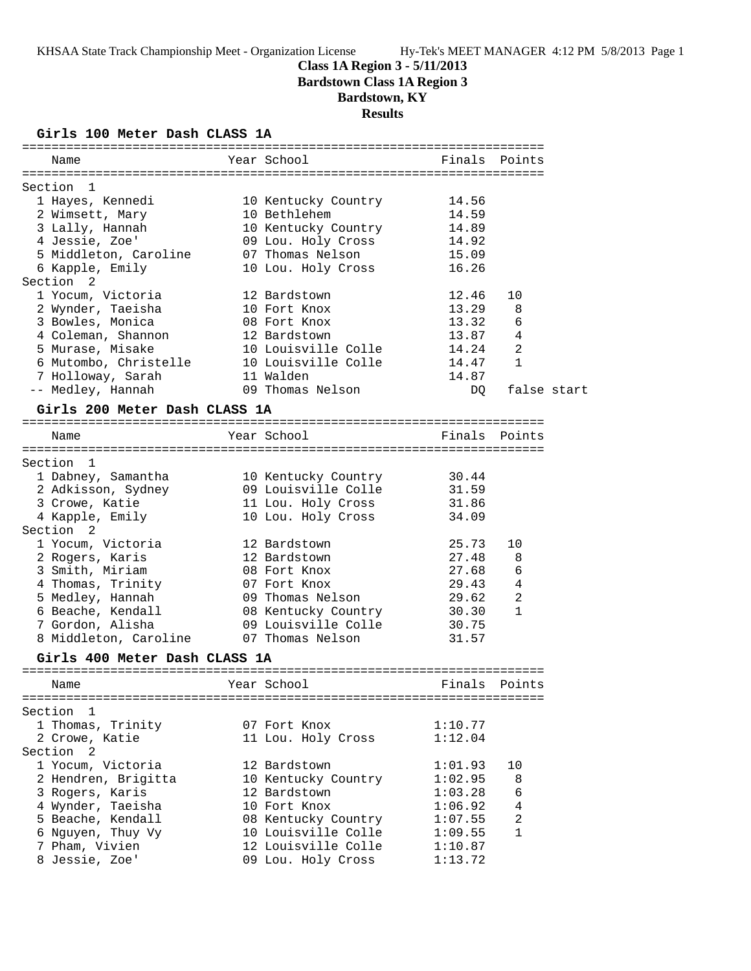## **Class 1A Region 3 - 5/11/2013 Bardstown Class 1A Region 3**

# **Bardstown, KY**

**Results**

### **Girls 100 Meter Dash CLASS 1A**

| Name                                         | Year School                         | Finals         | Points         |             |
|----------------------------------------------|-------------------------------------|----------------|----------------|-------------|
|                                              |                                     |                |                |             |
| Section<br>1                                 |                                     | 14.56          |                |             |
| 1 Hayes, Kennedi<br>2 Wimsett, Mary          | 10 Kentucky Country<br>10 Bethlehem | 14.59          |                |             |
| 3 Lally, Hannah                              | 10 Kentucky Country                 | 14.89          |                |             |
| 4 Jessie, Zoe'                               | 09 Lou. Holy Cross                  | 14.92          |                |             |
| 5 Middleton, Caroline                        | 07 Thomas Nelson                    | 15.09          |                |             |
| 6 Kapple, Emily                              | 10 Lou. Holy Cross                  | 16.26          |                |             |
| Section 2                                    |                                     |                |                |             |
| 1 Yocum, Victoria                            | 12 Bardstown                        | 12.46          | 10             |             |
| 2 Wynder, Taeisha                            | 10 Fort Knox                        | 13.29          | 8              |             |
| 3 Bowles, Monica                             | 08 Fort Knox                        | 13.32          | 6              |             |
| 4 Coleman, Shannon                           | 12 Bardstown                        | 13.87          | 4              |             |
| 5 Murase, Misake                             | 10 Louisville Colle                 | 14.24          | $\overline{2}$ |             |
| 6 Mutombo, Christelle                        | 10 Louisville Colle                 | 14.47          | $\mathbf{1}$   |             |
| 7 Holloway, Sarah                            | 11 Walden                           | 14.87          |                |             |
| -- Medley, Hannah                            | 09 Thomas Nelson                    | DQ             |                | false start |
| Girls 200 Meter Dash CLASS 1A                |                                     |                |                |             |
|                                              |                                     |                |                |             |
| Name                                         | Year School                         |                | Finals Points  |             |
|                                              |                                     |                |                |             |
| Section<br>1                                 |                                     |                |                |             |
| 1 Dabney, Samantha                           | 10 Kentucky Country                 | 30.44          |                |             |
| 2 Adkisson, Sydney                           | 09 Louisville Colle                 | 31.59<br>31.86 |                |             |
| 3 Crowe, Katie                               | 11 Lou. Holy Cross                  | 34.09          |                |             |
| 4 Kapple, Emily<br>Section <sub>2</sub>      | 10 Lou. Holy Cross                  |                |                |             |
| 1 Yocum, Victoria                            | 12 Bardstown                        | 25.73          | 10             |             |
| 2 Rogers, Karis                              | 12 Bardstown                        | 27.48          | 8              |             |
| 3 Smith, Miriam                              | 08 Fort Knox                        | 27.68          | 6              |             |
| 4 Thomas, Trinity                            | 07 Fort Knox                        | 29.43          | $\overline{4}$ |             |
| 5 Medley, Hannah                             | 09 Thomas Nelson                    | 29.62          | $\overline{2}$ |             |
| 6 Beache, Kendall                            | 08 Kentucky Country                 | 30.30          | 1              |             |
| 7 Gordon, Alisha                             | 09 Louisville Colle                 | 30.75          |                |             |
| 8 Middleton, Caroline                        | 07 Thomas Nelson                    | 31.57          |                |             |
| Girls 400 Meter Dash CLASS 1A                |                                     |                |                |             |
|                                              |                                     |                |                |             |
| Name                                         | Year School                         | Finals         | Points         |             |
|                                              |                                     |                |                |             |
| Section<br>$\mathbf{1}$<br>1 Thomas, Trinity | 07 Fort Knox                        | 1:10.77        |                |             |
| 2 Crowe, Katie                               |                                     | 1:12.04        |                |             |
| Section <sub>2</sub>                         | 11 Lou. Holy Cross                  |                |                |             |
| 1 Yocum, Victoria                            | 12 Bardstown                        | 1:01.93        | 10             |             |
| 2 Hendren, Brigitta                          | 10 Kentucky Country                 | 1:02.95        | 8              |             |
| 3 Rogers, Karis                              | 12 Bardstown                        | 1:03.28        | 6              |             |
| 4 Wynder, Taeisha                            | 10 Fort Knox                        | 1:06.92        | $\overline{4}$ |             |
| 5 Beache, Kendall                            | 08 Kentucky Country                 | 1:07.55        | $\overline{a}$ |             |
| 6 Nguyen, Thuy Vy                            | 10 Louisville Colle                 | 1:09.55        | $\mathbf{1}$   |             |
| 7 Pham, Vivien                               | 12 Louisville Colle                 | 1:10.87        |                |             |
| 8 Jessie, Zoe'                               | 09 Lou. Holy Cross                  | 1:13.72        |                |             |
|                                              |                                     |                |                |             |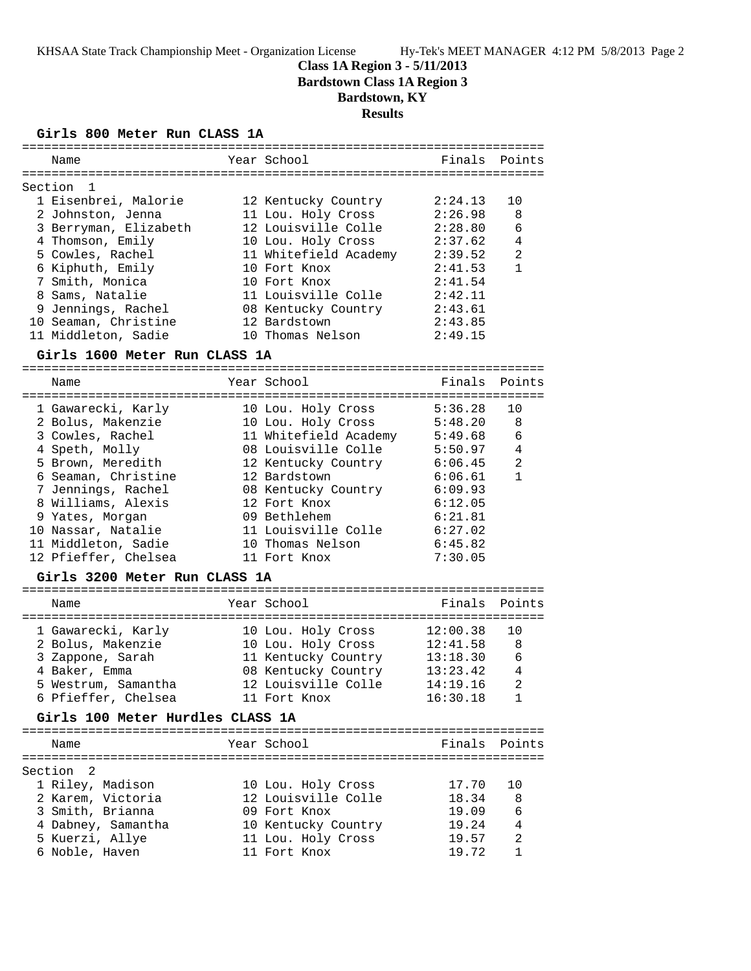### **Class 1A Region 3 - 5/11/2013 Bardstown Class 1A Region 3**

## **Bardstown, KY**

### **Results**

#### **Girls 800 Meter Run CLASS 1A**

| Name                  | Year School           | Finals Points |                |
|-----------------------|-----------------------|---------------|----------------|
| Section 1             |                       |               |                |
| 1 Eisenbrei, Malorie  | 12 Kentucky Country   | 2:24.13       | 1 O            |
| 2 Johnston, Jenna     | 11 Lou. Holy Cross    | 2:26.98       | - 8            |
| 3 Berryman, Elizabeth | 12 Louisville Colle   | 2:28.80       | 6              |
| 4 Thomson, Emily      | 10 Lou. Holy Cross    | 2:37.62       | $\overline{4}$ |
| 5 Cowles, Rachel      | 11 Whitefield Academy | 2:39.52       | $\mathfrak{D}$ |
| 6 Kiphuth, Emily      | 10 Fort Knox          | 2:41.53       |                |
| 7 Smith, Monica       | 10 Fort Knox          | 2:41.54       |                |
| 8 Sams, Natalie       | 11 Louisville Colle   | 2:42.11       |                |
| 9 Jennings, Rachel    | 08 Kentucky Country   | 2:43.61       |                |
| 10 Seaman, Christine  | 12 Bardstown          | 2:43.85       |                |
| 11 Middleton, Sadie   | 10 Thomas Nelson      | 2:49.15       |                |
|                       |                       |               |                |

#### **Girls 1600 Meter Run CLASS 1A**

======================================================================= Name **The Year School** Finals Points ======================================================================= 1 Gawarecki, Karly 10 Lou. Holy Cross 5:36.28 10 2 Bolus, Makenzie 10 Lou. Holy Cross 5:48.20 8 3 Cowles, Rachel 11 Whitefield Academy 5:49.68 6 4 Speth, Molly 08 Louisville Colle 5:50.97 4 5 Brown, Meredith 12 Kentucky Country 6:06.45 2 6 Seaman, Christine 12 Bardstown 6:06.61 1 7 Jennings, Rachel 08 Kentucky Country 6:09.93 8 Williams, Alexis 12 Fort Knox 6:12.05 9 Yates, Morgan 09 Bethlehem 6:21.81 10 Nassar, Natalie 11 Louisville Colle 6:27.02 11 Middleton, Sadie 10 Thomas Nelson 6:45.82 12 Pfieffer, Chelsea 11 Fort Knox 7:30.05

#### **Girls 3200 Meter Run CLASS 1A**

| Year School<br>Name                                                                                                                                                                                                                                         | Finals Points                                                                                                   |
|-------------------------------------------------------------------------------------------------------------------------------------------------------------------------------------------------------------------------------------------------------------|-----------------------------------------------------------------------------------------------------------------|
| 1 Gawarecki, Karly<br>10 Lou. Holy Cross<br>2 Bolus, Makenzie<br>10 Lou. Holy Cross<br>11 Kentucky Country<br>3 Zappone, Sarah<br>08 Kentucky Country<br>4 Baker, Emma<br>12 Louisville Colle<br>5 Westrum, Samantha<br>6 Pfieffer, Chelsea<br>11 Fort Knox | 12:00.38<br>ີ 1 ດ<br>12:41.58<br>-8<br>13:18.30<br>6<br>13:23.42<br>$\overline{4}$<br>14:19.16<br>2<br>16:30.18 |

#### **Girls 100 Meter Hurdles CLASS 1A**

| Name               | Year School         | Finals Points           |  |
|--------------------|---------------------|-------------------------|--|
| Section 2          |                     |                         |  |
| 1 Riley, Madison   | 10 Lou. Holy Cross  | 17.70<br>1 N            |  |
| 2 Karem, Victoria  | 12 Louisville Colle | - 8<br>18.34            |  |
| 3 Smith, Brianna   | 09 Fort Knox        | 6<br>19.09              |  |
| 4 Dabney, Samantha | 10 Kentucky Country | 19.24<br>$\overline{4}$ |  |
| 5 Kuerzi, Allye    | 11 Lou. Holy Cross  | 2<br>19.57              |  |
| 6 Noble, Haven     | 11 Fort Knox        | 19.72                   |  |
|                    |                     |                         |  |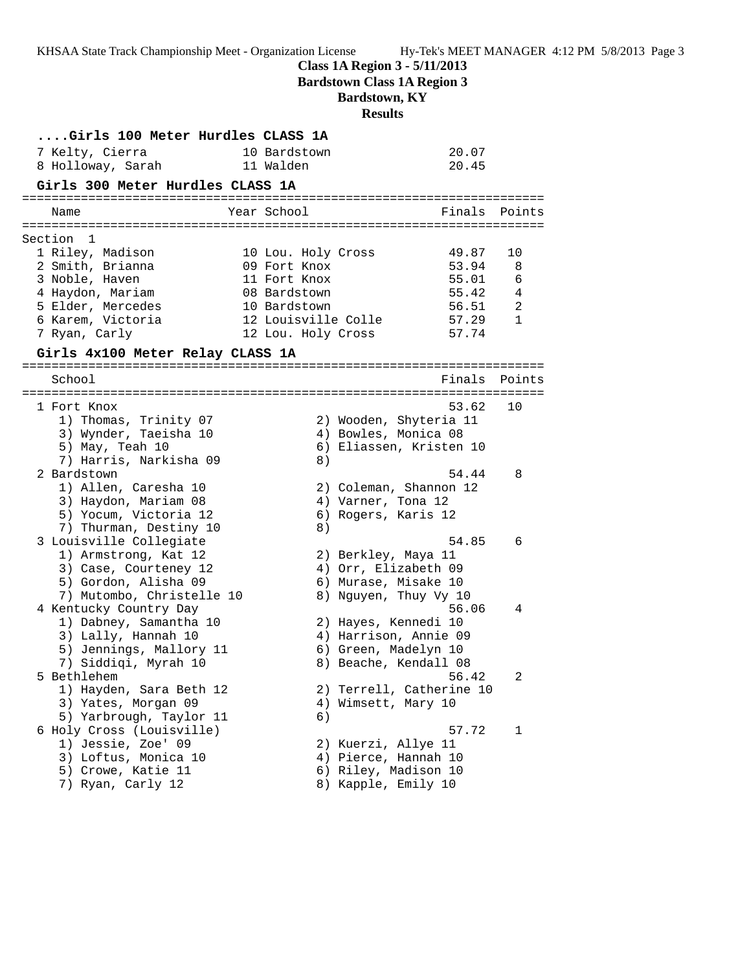**Class 1A Region 3 - 5/11/2013**

**Bardstown Class 1A Region 3**

## **Bardstown, KY**

**Results**

| Girls 100 Meter Hurdles CLASS 1A |              |    |                     |                          |        |
|----------------------------------|--------------|----|---------------------|--------------------------|--------|
| 7 Kelty, Cierra                  | 10 Bardstown |    |                     | 20.07                    |        |
| 8 Holloway, Sarah                | 11 Walden    |    |                     | 20.45                    |        |
| Girls 300 Meter Hurdles CLASS 1A |              |    |                     |                          |        |
|                                  |              |    |                     |                          |        |
| Name                             | Year School  |    |                     | Finals Points            |        |
|                                  |              |    |                     |                          |        |
| Section<br>1                     |              |    |                     |                          |        |
| 1 Riley, Madison                 |              |    | 10 Lou. Holy Cross  | 49.87                    | 10     |
| 2 Smith, Brianna                 | 09 Fort Knox |    |                     | 53.94                    | 8      |
| 3 Noble, Haven                   | 11 Fort Knox |    |                     | 55.01                    | 6      |
| 4 Haydon, Mariam                 | 08 Bardstown |    |                     | 55.42                    | 4      |
| 5 Elder, Mercedes                | 10 Bardstown |    | 12 Louisville Colle | 56.51                    | 2<br>1 |
| 6 Karem, Victoria                |              |    |                     | 57.29                    |        |
| 7 Ryan, Carly                    |              |    | 12 Lou. Holy Cross  | 57.74                    |        |
| Girls 4x100 Meter Relay CLASS 1A |              |    |                     |                          |        |
| School                           |              |    |                     | Finals                   | Points |
|                                  |              |    |                     |                          |        |
| 1 Fort Knox                      |              |    |                     | 53.62                    | 10     |
| 1) Thomas, Trinity 07            |              |    |                     | 2) Wooden, Shyteria 11   |        |
| 3) Wynder, Taeisha 10            |              |    |                     | 4) Bowles, Monica 08     |        |
| 5) May, Teah 10                  |              |    |                     | 6) Eliassen, Kristen 10  |        |
| 7) Harris, Narkisha 09           |              | 8) |                     |                          |        |
| 2 Bardstown                      |              |    |                     | 54.44                    | 8      |
| 1) Allen, Caresha 10             |              |    |                     | 2) Coleman, Shannon 12   |        |
| 3) Haydon, Mariam 08             |              |    | 4) Varner, Tona 12  |                          |        |
| 5) Yocum, Victoria 12            |              |    | 6) Rogers, Karis 12 |                          |        |
| 7) Thurman, Destiny 10           |              | 8) |                     |                          |        |
| 3 Louisville Collegiate          |              |    |                     | 54.85                    | 6      |
| 1) Armstrong, Kat 12             |              |    | 2) Berkley, Maya 11 |                          |        |
| 3) Case, Courteney 12            |              |    |                     | 4) Orr, Elizabeth 09     |        |
| 5) Gordon, Alisha 09             |              |    |                     | 6) Murase, Misake 10     |        |
| 7) Mutombo, Christelle 10        |              |    |                     | 8) Nguyen, Thuy Vy 10    |        |
| 4 Kentucky Country Day           |              |    |                     | 56.06                    | 4      |
| 1) Dabney, Samantha 10           |              |    |                     | 2) Hayes, Kennedi 10     |        |
| 3) Lally, Hannah 10              |              |    |                     | 4) Harrison, Annie 09    |        |
| 5) Jennings, Mallory 11          |              |    |                     | 6) Green, Madelyn 10     |        |
| 7) Siddiqi, Myrah 10             |              |    |                     | 8) Beache, Kendall 08    |        |
| 5 Bethlehem                      |              |    |                     | 56.42                    |        |
| 1) Hayden, Sara Beth 12          |              |    |                     | 2) Terrell, Catherine 10 |        |
| 3) Yates, Morgan 09              |              |    | 4) Wimsett, Mary 10 |                          |        |
| 5) Yarbrough, Taylor 11          |              | 6) |                     |                          |        |
| 6 Holy Cross (Louisville)        |              |    |                     | 57.72                    | 1      |
| 1) Jessie, Zoe' 09               |              |    | 2) Kuerzi, Allye 11 |                          |        |
| 3) Loftus, Monica 10             |              |    |                     | 4) Pierce, Hannah 10     |        |
| 5) Crowe, Katie 11               |              |    |                     | 6) Riley, Madison 10     |        |
| 7) Ryan, Carly 12                |              |    | 8) Kapple, Emily 10 |                          |        |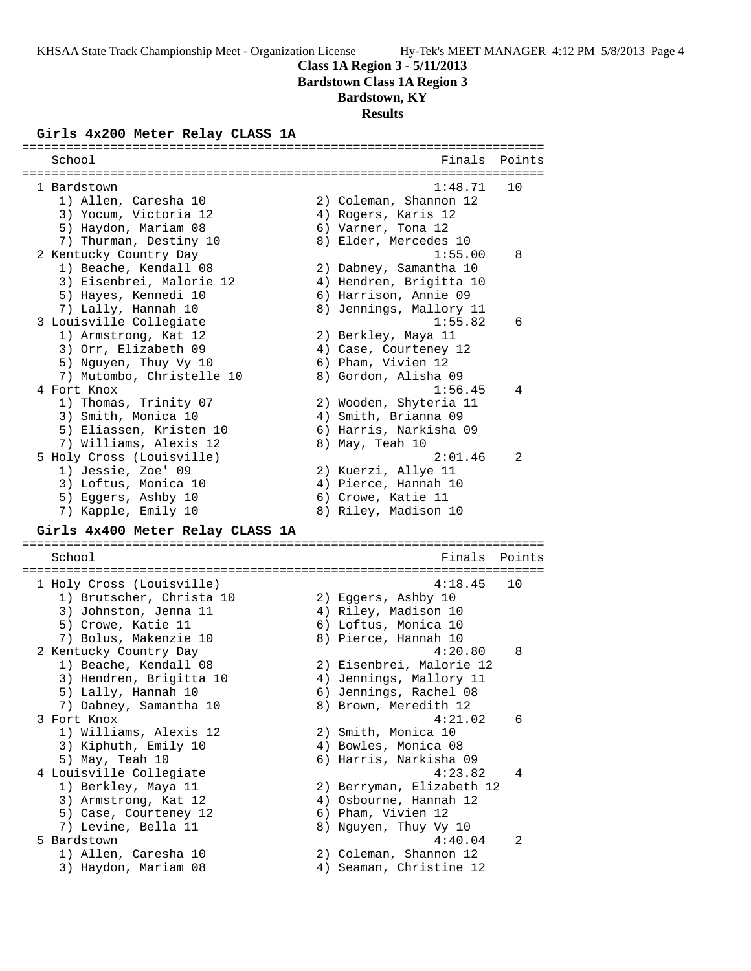**Class 1A Region 3 - 5/11/2013**

**Bardstown Class 1A Region 3**

**Bardstown, KY**

# **Results**

### **Girls 4x200 Meter Relay CLASS 1A**

| School                                       | Finals                                      | Points |
|----------------------------------------------|---------------------------------------------|--------|
| 1 Bardstown                                  | 1:48.71                                     | 10     |
| 1) Allen, Caresha 10                         | 2) Coleman, Shannon 12                      |        |
| 3) Yocum, Victoria 12                        | 4) Rogers, Karis 12                         |        |
| 5) Haydon, Mariam 08                         | 6) Varner, Tona 12                          |        |
| 7) Thurman, Destiny 10                       | 8) Elder, Mercedes 10                       |        |
| 2 Kentucky Country Day                       | 1:55.00                                     | 8      |
| 1) Beache, Kendall 08                        | 2) Dabney, Samantha 10                      |        |
| 3) Eisenbrei, Malorie 12                     | 4) Hendren, Brigitta 10                     |        |
| 5) Hayes, Kennedi 10                         | 6) Harrison, Annie 09                       |        |
| 7) Lally, Hannah 10                          | 8) Jennings, Mallory 11                     |        |
| 3 Louisville Collegiate                      | 1:55.82                                     | 6      |
| 1) Armstrong, Kat 12                         | 2) Berkley, Maya 11                         |        |
| 3) Orr, Elizabeth 09                         | 4) Case, Courteney 12                       |        |
| 5) Nguyen, Thuy Vy 10                        | 6) Pham, Vivien 12                          |        |
| 7) Mutombo, Christelle 10                    | 8) Gordon, Alisha 09                        |        |
| 4 Fort Knox                                  | 1:56.45                                     | 4      |
| 1) Thomas, Trinity 07                        | 2) Wooden, Shyteria 11                      |        |
| 3) Smith, Monica 10                          | 4) Smith, Brianna 09                        |        |
| 5) Eliassen, Kristen 10                      | 6) Harris, Narkisha 09                      |        |
| 7) Williams, Alexis 12                       | 8) May, Teah 10                             |        |
| 5 Holy Cross (Louisville)                    | 2:01.46                                     | 2      |
| 1) Jessie, Zoe' 09                           | 2) Kuerzi, Allye 11                         |        |
| 3) Loftus, Monica 10                         | 4) Pierce, Hannah 10                        |        |
| 5) Eggers, Ashby 10                          | 6) Crowe, Katie 11                          |        |
| 7) Kapple, Emily 10                          | 8) Riley, Madison 10                        |        |
| Girls 4x400 Meter Relay CLASS 1A             |                                             |        |
| School                                       | Finals                                      | Points |
|                                              |                                             |        |
| 1 Holy Cross (Louisville)                    | 4:18.45                                     | 10     |
| 1) Brutscher, Christa 10                     | 2) Eggers, Ashby 10                         |        |
| 3) Johnston, Jenna 11                        | 4) Riley, Madison 10                        |        |
| 5) Crowe, Katie 11                           | 6) Loftus, Monica 10                        |        |
| 7) Bolus, Makenzie 10                        | 8) Pierce, Hannah 10                        |        |
| 2 Kentucky Country Day                       | 4:20.80                                     | 8      |
| 1) Beache, Kendall 08                        | 2) Eisenbrei, Malorie 12                    |        |
| 3) Hendren, Brigitta 10                      |                                             |        |
|                                              |                                             |        |
|                                              | 4) Jennings, Mallory 11                     |        |
| 5) Lally, Hannah 10                          | 6) Jennings, Rachel 08                      |        |
| 7) Dabney, Samantha 10                       | 8) Brown, Meredith 12                       |        |
| 3 Fort Knox                                  | 4:21.02                                     | 6      |
| 1) Williams, Alexis 12                       | 2) Smith, Monica 10                         |        |
| 3) Kiphuth, Emily 10                         | 4) Bowles, Monica 08                        |        |
| 5) May, Teah 10                              | 6) Harris, Narkisha 09                      |        |
| 4 Louisville Collegiate                      | 4:23.82                                     | 4      |
| 1) Berkley, Maya 11                          | 2) Berryman, Elizabeth 12                   |        |
| 3) Armstrong, Kat 12                         | 4) Osbourne, Hannah 12                      |        |
| 5) Case, Courteney 12<br>7) Levine, Bella 11 | 6) Pham, Vivien 12<br>8) Nguyen, Thuy Vy 10 |        |

- 5 Bardstown 4:40.04 2
- 1) Allen, Caresha 10 2) Coleman, Shannon 12
	-
- 
- 3) Haydon, Mariam 08 4) Seaman, Christine 12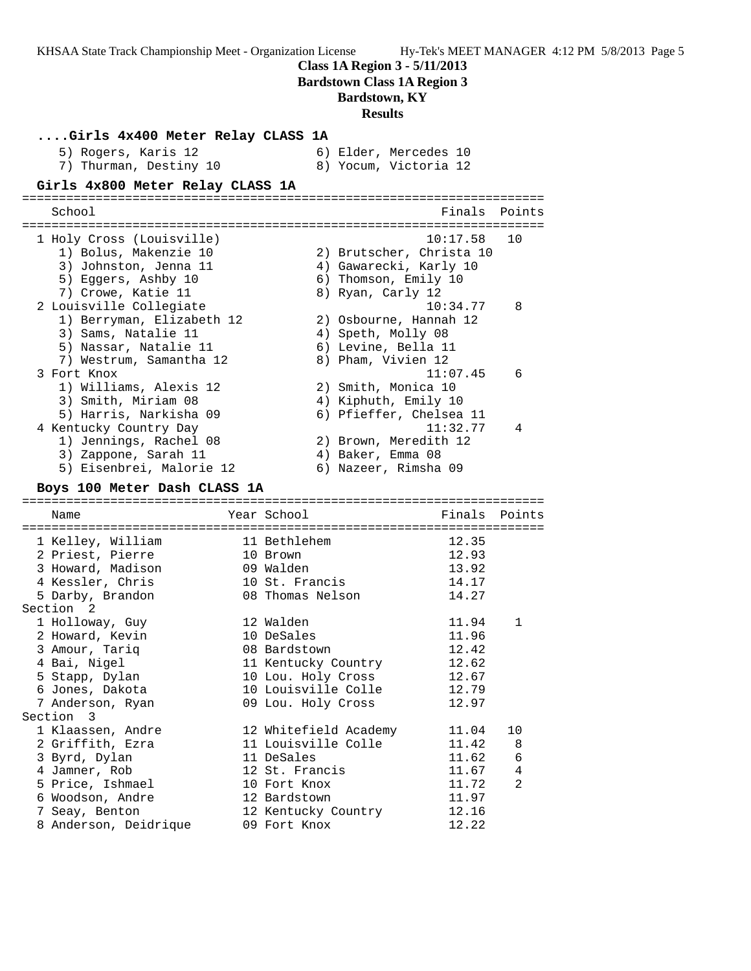**Class 1A Region 3 - 5/11/2013**

**Bardstown Class 1A Region 3**

# **Bardstown, KY**

## **Results**

| Girls 4x400 Meter Relay CLASS 1A                 |                                     |                   |                                                |        |
|--------------------------------------------------|-------------------------------------|-------------------|------------------------------------------------|--------|
| 5) Rogers, Karis 12<br>7) Thurman, Destiny 10    |                                     |                   | 6) Elder, Mercedes 10<br>8) Yocum, Victoria 12 |        |
| Girls 4x800 Meter Relay CLASS 1A                 |                                     |                   |                                                |        |
| School                                           |                                     |                   | Finals                                         | Points |
|                                                  |                                     |                   |                                                |        |
| 1 Holy Cross (Louisville)                        |                                     |                   | 10:17.58                                       | 10     |
| 1) Bolus, Makenzie 10                            |                                     |                   | 2) Brutscher, Christa 10                       |        |
| 3) Johnston, Jenna 11                            |                                     |                   | 4) Gawarecki, Karly 10                         |        |
| 5) Eggers, Ashby 10                              |                                     |                   | 6) Thomson, Emily 10                           |        |
| 7) Crowe, Katie 11                               |                                     | 8) Ryan, Carly 12 |                                                |        |
| 2 Louisville Collegiate                          |                                     |                   | 10:34.77                                       | 8      |
| 1) Berryman, Elizabeth 12                        |                                     |                   | 2) Osbourne, Hannah 12                         |        |
| 3) Sams, Natalie 11                              |                                     |                   | 4) Speth, Molly 08                             |        |
| 5) Nassar, Natalie 11                            |                                     |                   | 6) Levine, Bella 11                            |        |
| 7) Westrum, Samantha 12                          |                                     |                   | 8) Pham, Vivien 12                             |        |
| 3 Fort Knox                                      |                                     |                   | 11:07.45                                       | 6      |
| 1) Williams, Alexis 12                           |                                     |                   | 2) Smith, Monica 10                            |        |
| 3) Smith, Miriam 08                              |                                     |                   | 4) Kiphuth, Emily 10                           |        |
| 5) Harris, Narkisha 09<br>4 Kentucky Country Day |                                     |                   | 6) Pfieffer, Chelsea 11<br>11:32.77            | 4      |
| 1) Jennings, Rachel 08                           |                                     |                   | 2) Brown, Meredith 12                          |        |
| 3) Zappone, Sarah 11                             |                                     | 4) Baker, Emma 08 |                                                |        |
| 5) Eisenbrei, Malorie 12                         |                                     |                   | 6) Nazeer, Rimsha 09                           |        |
|                                                  |                                     |                   |                                                |        |
|                                                  |                                     |                   |                                                |        |
| Boys 100 Meter Dash CLASS 1A                     |                                     |                   |                                                |        |
| Name                                             | Year School                         |                   | Finals                                         | Points |
|                                                  |                                     |                   |                                                |        |
| 1 Kelley, William                                | 11 Bethlehem                        |                   | 12.35                                          |        |
| 2 Priest, Pierre                                 | 10 Brown                            |                   | 12.93                                          |        |
| 3 Howard, Madison                                | 09 Walden                           |                   | 13.92                                          |        |
| 4 Kessler, Chris                                 | 10 St. Francis                      |                   | 14.17                                          |        |
| 5 Darby, Brandon                                 | 08 Thomas Nelson                    |                   | 14.27                                          |        |
| Section <sub>2</sub>                             |                                     |                   |                                                |        |
| 1 Holloway, Guy                                  | 12 Walden                           |                   | 11.94                                          | 1      |
| 2 Howard, Kevin                                  | 10 DeSales                          |                   | 11.96                                          |        |
| 3 Amour, Tariq                                   | 08 Bardstown                        |                   | 12.42                                          |        |
| 4 Bai, Nigel                                     | 11 Kentucky Country                 |                   | 12.62                                          |        |
| 5 Stapp, Dylan                                   | 10 Lou. Holy Cross                  |                   | 12.67                                          |        |
| 6 Jones, Dakota                                  | 10 Louisville Colle                 |                   | 12.79                                          |        |
| 7 Anderson, Ryan                                 | 09 Lou. Holy Cross                  |                   | 12.97                                          |        |
| Section 3                                        |                                     |                   |                                                |        |
| 1 Klaassen, Andre                                | 12 Whitefield Academy               |                   | 11.04                                          | 10     |
| 2 Griffith, Ezra                                 | 11 Louisville Colle                 |                   | 11.42                                          | 8      |
| 3 Byrd, Dylan                                    | 11 DeSales                          |                   | 11.62                                          | 6<br>4 |
| 4 Jamner, Rob                                    | 12 St. Francis                      |                   | 11.67                                          | 2      |
| 5 Price, Ishmael                                 | 10 Fort Knox                        |                   | 11.72                                          |        |
| 6 Woodson, Andre<br>7 Seay, Benton               | 12 Bardstown<br>12 Kentucky Country |                   | 11.97<br>12.16                                 |        |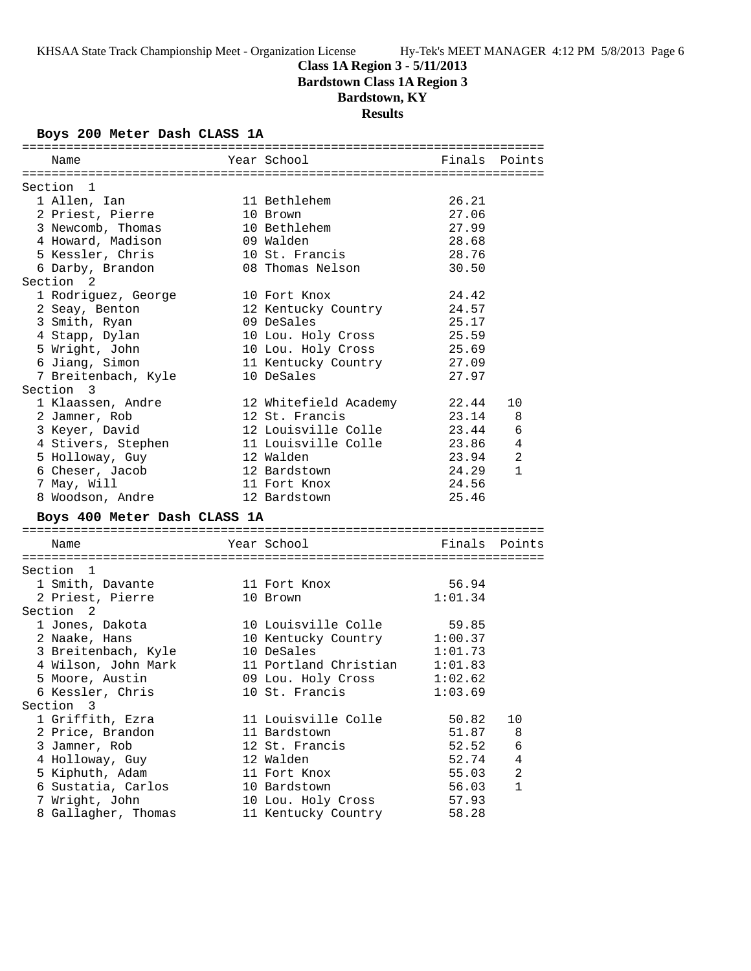# **Class 1A Region 3 - 5/11/2013**

**Bardstown Class 1A Region 3**

# **Bardstown, KY**

**Results**

### **Boys 200 Meter Dash CLASS 1A**

| Name                         | Year School                 | Finals  | Points         |
|------------------------------|-----------------------------|---------|----------------|
|                              |                             |         |                |
| Section 1                    |                             |         |                |
| 1 Allen, Ian                 | 11 Bethlehem                | 26.21   |                |
| 2 Priest, Pierre             | 10 Brown                    | 27.06   |                |
| 3 Newcomb, Thomas            | 10 Bethlehem                | 27.99   |                |
| 4 Howard, Madison            | 09 Walden                   | 28.68   |                |
| 5 Kessler, Chris             | 10 St. Francis              | 28.76   |                |
| 6 Darby, Brandon             | 08 Thomas Nelson            | 30.50   |                |
| Section <sub>2</sub>         |                             |         |                |
| 1 Rodriguez, George          | 10 Fort Knox                | 24.42   |                |
| 2 Seay, Benton               | 12 Kentucky Country         | 24.57   |                |
| 3 Smith, Ryan                | 09 DeSales                  | 25.17   |                |
| 4 Stapp, Dylan               | 10 Lou. Holy Cross          | 25.59   |                |
| 5 Wright, John               | 10 Lou. Holy Cross          | 25.69   |                |
| 6 Jiang, Simon               | 11 Kentucky Country         | 27.09   |                |
| 7 Breitenbach, Kyle          | 10 DeSales                  | 27.97   |                |
| Section 3                    |                             |         |                |
| 1 Klaassen, Andre            | 12 Whitefield Academy       | 22.44   | 10             |
| 2 Jamner, Rob                | 12 St. Francis              | 23.14   | 8              |
| 3 Keyer, David               | 12 Louisville Colle         | 23.44   | 6              |
| 4 Stivers, Stephen           | 11 Louisville Colle         | 23.86   | $\overline{4}$ |
| 5 Holloway, Guy              | 12 Walden                   | 23.94   | 2              |
| 6 Cheser, Jacob              | 12 Bardstown                | 24.29   | $\mathbf{1}$   |
| 7 May, Will                  | 11 Fort Knox                | 24.56   |                |
| 8 Woodson, Andre             | 12 Bardstown                | 25.46   |                |
| Boys 400 Meter Dash CLASS 1A |                             |         |                |
|                              |                             |         |                |
| Name                         | Year School                 | Finals  | Points         |
|                              |                             |         |                |
| Section 1                    |                             |         |                |
| 1 Smith, Davante             | 11 Fort Knox                | 56.94   |                |
| 2 Priest, Pierre             | 10 Brown                    | 1:01.34 |                |
| Section <sub>2</sub>         |                             |         |                |
| 1 Jones, Dakota              | 10 Louisville Colle 59.85   |         |                |
| 2 Naake, Hans                | 10 Kentucky Country 1:00.37 |         |                |
| 3 Breitenbach, Kyle          | 10 DeSales                  | 1:01.73 |                |
| 4 Wilson, John Mark          | 11 Portland Christian       | 1:01.83 |                |
| 5 Moore, Austin              | 09 Lou. Holy Cross          | 1:02.62 |                |
| 6 Kessler, Chris             | 10 St. Francis              | 1:03.69 |                |
| Section 3                    |                             |         |                |
| 1 Griffith, Ezra             | 11 Louisville Colle         | 50.82   | 10             |
| 2 Price, Brandon             | 11 Bardstown                | 51.87   | 8              |
| 3 Jamner, Rob                | 12 St. Francis              | 52.52   | 6              |
| 4 Holloway, Guy              | 12 Walden                   | 52.74   | $\overline{4}$ |
| 5 Kiphuth, Adam              | 11 Fort Knox                | 55.03   | 2              |
| 6 Sustatia, Carlos           | 10 Bardstown                | 56.03   | $\mathbf{1}$   |
| 7 Wright, John               | 10 Lou. Holy Cross          | 57.93   |                |
| 8 Gallagher, Thomas          | 11 Kentucky Country         | 58.28   |                |
|                              |                             |         |                |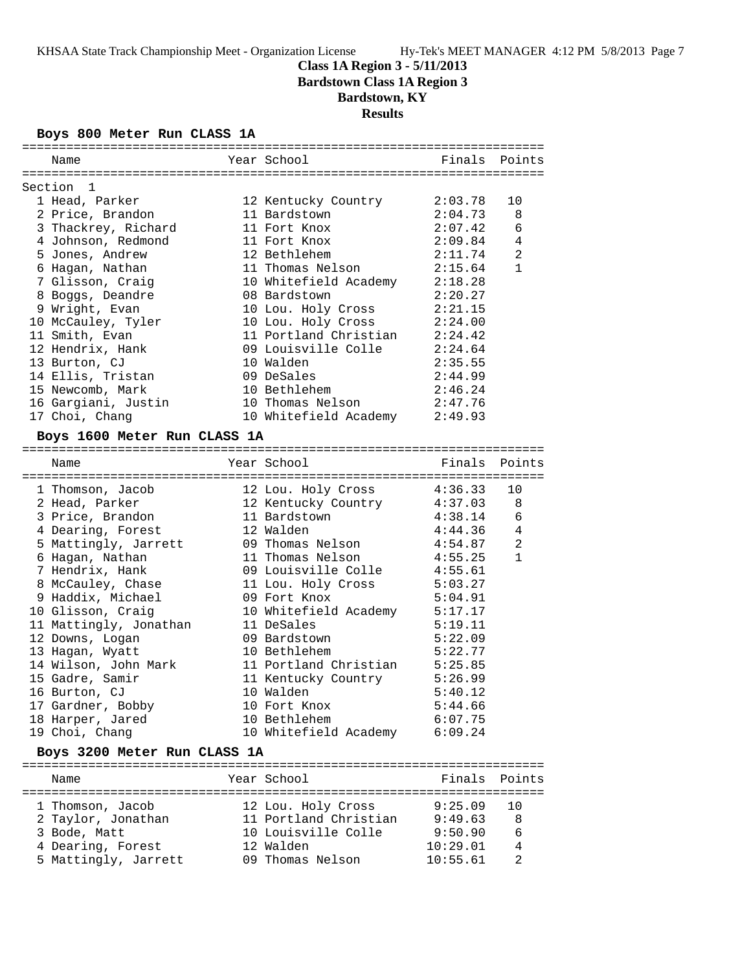## **Class 1A Region 3 - 5/11/2013 Bardstown Class 1A Region 3 Bardstown, KY**

**Results**

### **Boys 800 Meter Run CLASS 1A**

| Name                             | Year School                                 | Finals Points      |                |
|----------------------------------|---------------------------------------------|--------------------|----------------|
|                                  |                                             |                    |                |
| Section 1                        |                                             |                    |                |
| 1 Head, Parker                   | 12 Kentucky Country                         | 2:03.78            | 10             |
| 2 Price, Brandon                 | 11 Bardstown                                | 2:04.73            | 8              |
| 3 Thackrey, Richard              | 11 Fort Knox                                | 2:07.42            | 6              |
| 4 Johnson, Redmond               | 11 Fort Knox                                | 2:09.84            | 4              |
| 5 Jones, Andrew                  | 12 Bethlehem                                | 2:11.74            | $\overline{a}$ |
| 6 Haqan, Nathan                  | 11 Thomas Nelson                            | 2:15.64            | $\mathbf{1}$   |
| 7 Glisson, Craig                 | 10 Whitefield Academy                       | 2:18.28            |                |
| 8 Boggs, Deandre                 | 08 Bardstown                                | 2:20.27            |                |
| 9 Wright, Evan                   | 10 Lou. Holy Cross                          | 2:21.15            |                |
| 10 McCauley, Tyler               | 10 Lou. Holy Cross                          | 2:24.00            |                |
| 11 Smith, Evan                   | 11 Portland Christian                       | 2:24.42            |                |
| 12 Hendrix, Hank                 | 09 Louisville Colle                         | 2:24.64            |                |
| 13 Burton, CJ                    | 10 Walden                                   | 2:35.55            |                |
| 14 Ellis, Tristan                | 09 DeSales                                  | 2:44.99            |                |
| 15 Newcomb, Mark                 | 10 Bethlehem                                | 2:46.24            |                |
| 16 Gargiani, Justin              | 10 Thomas Nelson                            | 2:47.76            |                |
| 17 Choi, Chang                   | 10 Whitefield Academy 2:49.93               |                    |                |
| Boys 1600 Meter Run CLASS 1A     |                                             |                    |                |
|                                  |                                             |                    |                |
|                                  |                                             |                    |                |
|                                  |                                             |                    |                |
| Name                             | Year School                                 | Finals             | Points         |
|                                  |                                             | 4:36.33            | 10             |
| 1 Thomson, Jacob                 | 12 Lou. Holy Cross                          |                    | 8              |
| 2 Head, Parker                   | 12 Kentucky Country 4:37.03<br>11 Bardstown |                    | 6              |
| 3 Price, Brandon                 | 12 Walden                                   | 4:38.14<br>4:44.36 | 4              |
| 4 Dearing, Forest                | 09 Thomas Nelson                            | 4:54.87            | 2              |
| 5 Mattingly, Jarrett             | 11 Thomas Nelson                            | 4:55.25            | $\mathbf{1}$   |
| 6 Hagan, Nathan                  | 09 Louisville Colle                         | 4:55.61            |                |
| 7 Hendrix, Hank                  |                                             | 5:03.27            |                |
| 8 McCauley, Chase                | 11 Lou. Holy Cross<br>09 Fort Knox          | 5:04.91            |                |
| 9 Haddix, Michael                |                                             | 5:17.17            |                |
| 10 Glisson, Craig                | 10 Whitefield Academy<br>11 DeSales         |                    |                |
| 11 Mattingly, Jonathan           | 09 Bardstown                                | 5:19.11<br>5:22.09 |                |
| 12 Downs, Logan                  | 10 Bethlehem                                | 5:22.77            |                |
| 13 Hagan, Wyatt                  |                                             | 5:25.85            |                |
| 14 Wilson, John Mark             | 11 Portland Christian                       | 5:26.99            |                |
| 15 Gadre, Samir<br>16 Burton, CJ | 11 Kentucky Country<br>10 Walden            | 5:40.12            |                |
| 17 Gardner, Bobby                | 10 Fort Knox                                | 5:44.66            |                |
| 18 Harper, Jared                 | 10 Bethlehem                                | 6:07.75            |                |

### **Boys 3200 Meter Run CLASS 1A**

| Name                 | Year School           | Finals Points |                |
|----------------------|-----------------------|---------------|----------------|
|                      |                       |               |                |
| 1 Thomson, Jacob     | 12 Lou. Holy Cross    | $9:25.09$ 10  |                |
| 2 Taylor, Jonathan   | 11 Portland Christian | 9:49.63       | 8              |
| 3 Bode, Matt         | 10 Louisville Colle   | 9:50.90       | 6              |
| 4 Dearing, Forest    | 12 Walden             | 10:29.01      | $\overline{4}$ |
| 5 Mattingly, Jarrett | 09 Thomas Nelson      | 10:55.61      | っ              |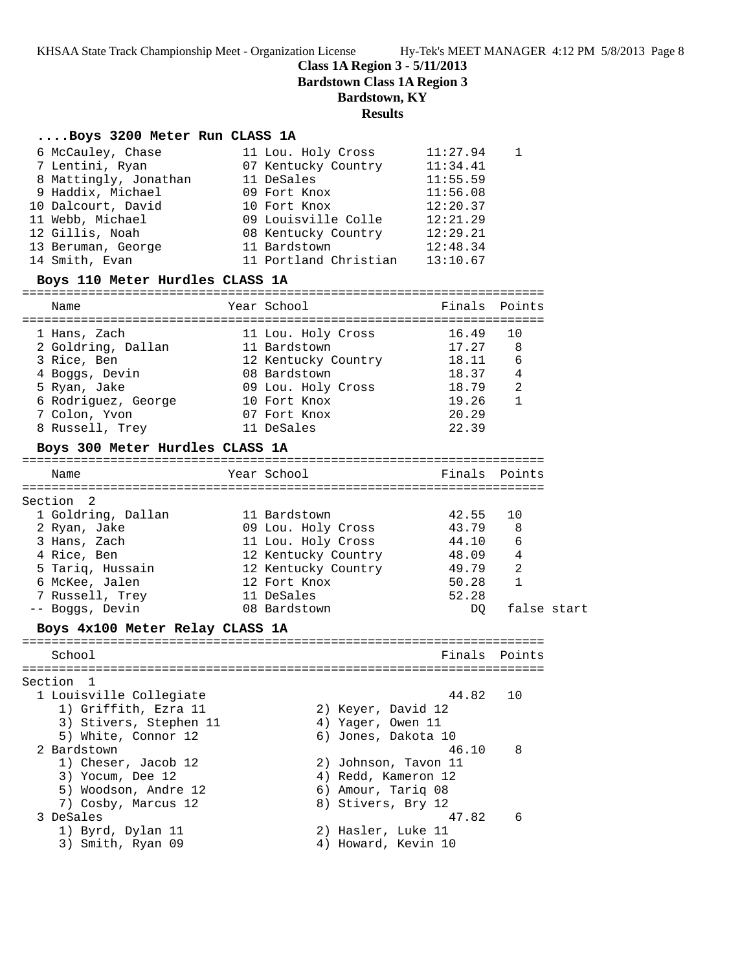**Class 1A Region 3 - 5/11/2013**

**Bardstown Class 1A Region 3**

## **Bardstown, KY**

## **Results**

#### **....Boys 3200 Meter Run CLASS 1A**

| 6 McCauley, Chase               | 11 Lou. Holy Cross    | 11:27.94 |  |
|---------------------------------|-----------------------|----------|--|
| 7 Lentini, Ryan                 | 07 Kentucky Country   | 11:34.41 |  |
| 8 Mattingly, Jonathan           | 11 DeSales            | 11:55.59 |  |
| 9 Haddix, Michael               | 09 Fort Knox          | 11:56.08 |  |
| 10 Dalcourt, David              | 10 Fort Knox          | 12:20.37 |  |
| 11 Webb, Michael                | 09 Louisville Colle   | 12:21.29 |  |
| 12 Gillis, Noah                 | 08 Kentucky Country   | 12:29.21 |  |
| 13 Beruman, George              | 11 Bardstown          | 12:48.34 |  |
| 14 Smith, Evan                  | 11 Portland Christian | 13:10.67 |  |
| Boys 110 Meter Hurdles CLASS 1A |                       |          |  |

| Name                                                                                                                                           | Year School                                                                                                                                   | Finals                                                               | Points                                                           |  |
|------------------------------------------------------------------------------------------------------------------------------------------------|-----------------------------------------------------------------------------------------------------------------------------------------------|----------------------------------------------------------------------|------------------------------------------------------------------|--|
| 1 Hans, Zach<br>2 Goldring, Dallan<br>3 Rice, Ben<br>4 Boggs, Devin<br>5 Ryan, Jake<br>6 Rodriguez, George<br>7 Colon, Yvon<br>8 Russell, Trey | 11 Lou. Holy Cross<br>11 Bardstown<br>12 Kentucky Country<br>08 Bardstown<br>09 Lou. Holy Cross<br>10 Fort Knox<br>07 Fort Knox<br>11 DeSales | 16.49<br>17.27<br>18.11<br>18.37<br>18.79<br>19.26<br>20.29<br>22.39 | 10<br>8<br>6<br>$\overline{4}$<br>$\overline{2}$<br>$\mathbf{1}$ |  |
| Boys 300 Meter Hurdles CLASS 1A                                                                                                                |                                                                                                                                               |                                                                      |                                                                  |  |
| Name                                                                                                                                           | Year School                                                                                                                                   | Finals                                                               | Points                                                           |  |
| Section 2                                                                                                                                      |                                                                                                                                               |                                                                      |                                                                  |  |
| 1 Goldring, Dallan                                                                                                                             | 11 Bardstown                                                                                                                                  | 42.55                                                                | 10                                                               |  |
| 2 Ryan, Jake                                                                                                                                   | 09 Lou. Holy Cross                                                                                                                            | 43.79                                                                | 8                                                                |  |
| 3 Hans, Zach                                                                                                                                   | 11 Lou. Holy Cross                                                                                                                            | 44.10                                                                | 6                                                                |  |
| 4 Rice, Ben                                                                                                                                    | 12 Kentucky Country                                                                                                                           | 48.09                                                                | $\bf 4$                                                          |  |
| 5 Tariq, Hussain                                                                                                                               | 12 Kentucky Country                                                                                                                           | 49.79                                                                | $\overline{2}$                                                   |  |
| 6 McKee, Jalen                                                                                                                                 | 12 Fort Knox                                                                                                                                  | 50.28                                                                | $\mathbf{1}$                                                     |  |
| 7 Russell, Trey                                                                                                                                | 11 DeSales                                                                                                                                    | 52.28                                                                |                                                                  |  |
| -- Boggs, Devin                                                                                                                                | 08 Bardstown                                                                                                                                  | DO.                                                                  | false start                                                      |  |
| Boys 4x100 Meter Relay CLASS 1A                                                                                                                |                                                                                                                                               |                                                                      |                                                                  |  |
|                                                                                                                                                |                                                                                                                                               |                                                                      |                                                                  |  |
| School                                                                                                                                         |                                                                                                                                               |                                                                      | Finals Points                                                    |  |
| Section<br>$\mathbf{1}$                                                                                                                        |                                                                                                                                               |                                                                      |                                                                  |  |
| 1 Louisville Collegiate<br>1) Griffith, Ezra 11<br>3) Stivers, Stephen 11                                                                      | 2) Keyer, David 12<br>4) Yager, Owen 11                                                                                                       | 44.82                                                                | 10                                                               |  |

5) White, Connor 12 6) Jones, Dakota 10

 1) Cheser, Jacob 12 2) Johnson, Tavon 11 3) Yocum, Dee 12 4) Redd, Kameron 12 5) Woodson, Andre 12 6) Amour, Tariq 08 7) Cosby, Marcus 12 8) Stivers, Bry 12

1) Byrd, Dylan 11 2) Hasler, Luke 11 3) Smith, Ryan 09 (4) Howard, Kevin 10

2 Bardstown 46.10 8

3 DeSales 47.82 6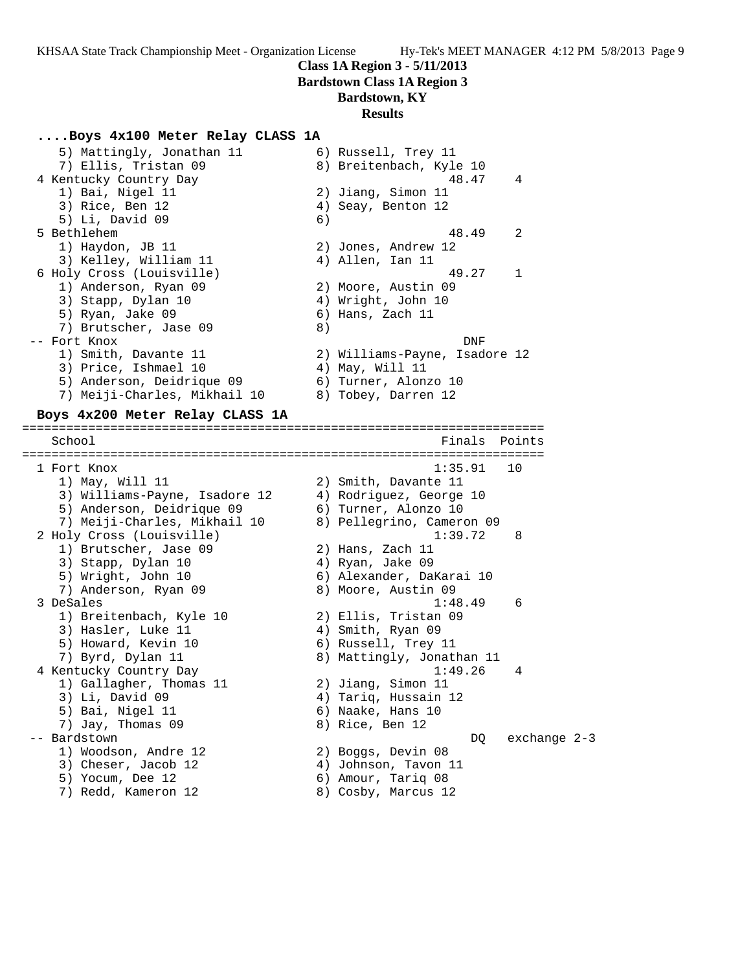### **Class 1A Region 3 - 5/11/2013**

**Bardstown Class 1A Region 3**

## **Bardstown, KY**

### **Results**

#### **....Boys 4x100 Meter Relay CLASS 1A**

| 5) Mattingly, Jonathan 11    |    | 6) Russell, Trey 11           |                |
|------------------------------|----|-------------------------------|----------------|
| 7) Ellis, Tristan 09         |    | 8) Breitenbach, Kyle 10       |                |
| 4 Kentucky Country Day       |    | 48.47                         | $\overline{4}$ |
| 1) Bai, Nigel 11             |    | 2) Jiang, Simon 11            |                |
| 3) Rice, Ben 12              |    | 4) Seay, Benton 12            |                |
| $5)$ Li, David 09            | 6) |                               |                |
| 5 Bethlehem                  |    | 48.49                         | 2              |
| 1) Haydon, JB 11             |    | 2) Jones, Andrew 12           |                |
| 3) Kelley, William 11        |    | 4) Allen, Ian 11              |                |
| 6 Holy Cross (Louisville)    |    | 49.27                         |                |
| 1) Anderson, Ryan 09         |    | 2) Moore, Austin 09           |                |
| 3) Stapp, Dylan 10           |    | 4) Wright, John 10            |                |
| 5) Ryan, Jake 09             |    | 6) Hans, Zach 11              |                |
| 7) Brutscher, Jase 09        | 8) |                               |                |
| Fort Knox                    |    | DNF                           |                |
| 1) Smith, Davante 11         |    | 2) Williams-Payne, Isadore 12 |                |
| 3) Price, Ishmael 10         |    | 4) May, Will 11               |                |
| 5) Anderson, Deidrique 09    |    | 6) Turner, Alonzo 10          |                |
| 7) Meiji-Charles, Mikhail 10 |    | 8) Tobey, Darren 12           |                |
| .                            |    |                               |                |

#### **Boys 4x200 Meter Relay CLASS 1A**

======================================================================= School **Finals** Points ======================================================================= 1 Fort Knox 1:35.91 10 1) May, Will 11 2) Smith, Davante 11 3) Williams-Payne, Isadore 12 4) Rodriguez, George 10 5) Anderson, Deidrique 09 6) Turner, Alonzo 10 7) Meiji-Charles, Mikhail 10 8) Pellegrino, Cameron 09 2 Holy Cross (Louisville) 1:39.72 8 1) Brutscher, Jase 09 2) Hans, Zach 11 3) Stapp, Dylan 10 (4) Ryan, Jake 09 5) Wright, John 10 6) Alexander, DaKarai 10 7) Anderson, Ryan 09 8) Moore, Austin 09 3 DeSales 1:48.49 6 1) Breitenbach, Kyle 10 2) Ellis, Tristan 09 3) Hasler, Luke 11 (4) Smith, Ryan 09 5) Howard, Kevin 10 (6) Russell, Trey 11 7) Byrd, Dylan 11 8) Mattingly, Jonathan 11 4 Kentucky Country Day 1:49.26 4 1) Gallagher, Thomas 11 2) Jiang, Simon 11 3) Li, David 09  $\hskip1cm$  4) Tariq, Hussain 12 5) Bai, Nigel 11 6) Naake, Hans 10 7) Jay, Thomas 09 8) Rice, Ben 12 -- Bardstown DQ exchange 2-3 1) Woodson, Andre 12 2) Boggs, Devin 08 3) Cheser, Jacob 12 (4) Johnson, Tavon 11 5) Yocum, Dee 12 6) Amour, Tariq 08 7) Redd, Kameron 12 8) Cosby, Marcus 12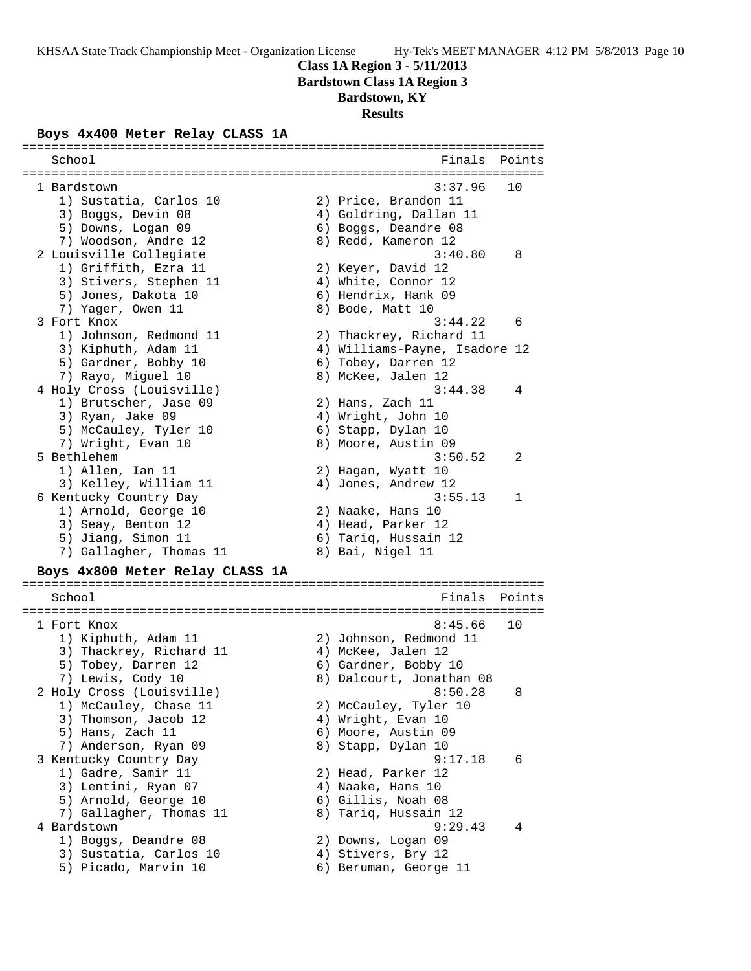**Class 1A Region 3 - 5/11/2013**

**Bardstown Class 1A Region 3**

# **Bardstown, KY**

## **Results**

### **Boys 4x400 Meter Relay CLASS 1A**

| School                          | Finals                        | Points |
|---------------------------------|-------------------------------|--------|
| 1 Bardstown                     | 3:37.96                       | 10     |
| 1) Sustatia, Carlos 10          | 2) Price, Brandon 11          |        |
| 3) Boggs, Devin 08              | 4) Goldring, Dallan 11        |        |
| 5) Downs, Logan 09              | 6) Boggs, Deandre 08          |        |
| 7) Woodson, Andre 12            | 8) Redd, Kameron 12           |        |
| 2 Louisville Collegiate         | 3:40.80                       | 8      |
| 1) Griffith, Ezra 11            | 2) Keyer, David 12            |        |
| 3) Stivers, Stephen 11          | 4) White, Connor 12           |        |
| 5) Jones, Dakota 10             | 6) Hendrix, Hank 09           |        |
| 7) Yager, Owen 11               | 8) Bode, Matt 10              |        |
| 3 Fort Knox                     | 3:44.22                       | 6      |
| 1) Johnson, Redmond 11          | 2) Thackrey, Richard 11       |        |
| 3) Kiphuth, Adam 11             | 4) Williams-Payne, Isadore 12 |        |
| 5) Gardner, Bobby 10            | 6) Tobey, Darren 12           |        |
| 7) Rayo, Miguel 10              | 8) McKee, Jalen 12            |        |
| 4 Holy Cross (Louisville)       | 3:44.38                       | 4      |
| 1) Brutscher, Jase 09           | 2) Hans, Zach 11              |        |
| 3) Ryan, Jake 09                | 4) Wright, John 10            |        |
| 5) McCauley, Tyler 10           | 6) Stapp, Dylan 10            |        |
| 7) Wright, Evan 10              | 8) Moore, Austin 09           |        |
| 5 Bethlehem                     | 3:50.52                       | 2      |
| 1) Allen, Ian 11                | 2) Hagan, Wyatt 10            |        |
| 3) Kelley, William 11           | 4) Jones, Andrew 12           |        |
| 6 Kentucky Country Day          | 3:55.13                       | 1      |
| 1) Arnold, George 10            | 2) Naake, Hans 10             |        |
| 3) Seay, Benton 12              | 4) Head, Parker 12            |        |
| 5) Jiang, Simon 11              | 6) Tariq, Hussain 12          |        |
| 7) Gallagher, Thomas 11         | 8) Bai, Nigel 11              |        |
| Boys 4x800 Meter Relay CLASS 1A |                               |        |
| School                          | Finals                        | Points |
|                                 |                               |        |
| 1 Fort Knox                     | 8:45.66                       | 10     |
| 1) Kiphuth, Adam 11             | 2) Johnson, Redmond 11        |        |
| 3) Thackrey, Richard 11         | 4) McKee, Jalen 12            |        |
| 5) Tobey, Darren 12             | 6) Gardner, Bobby 10          |        |
| 7) Lewis, Cody 10               | 8) Dalcourt, Jonathan 08      |        |
| 2 Holy Cross (Louisville)       | 8:50.28                       | 8      |
| 1) McCauley, Chase 11           | 2) McCauley, Tyler 10         |        |
| 3) Thomson, Jacob 12            | 4) Wright, Evan 10            |        |
| 5) Hans, Zach 11                | 6) Moore, Austin 09           |        |
| 7) Anderson, Ryan 09            | 8) Stapp, Dylan 10            |        |
| 3 Kentucky Country Day          | 9:17.18                       | 6      |
| 1) Gadre, Samir 11              | 2) Head, Parker 12            |        |
| 3) Lentini, Ryan 07             | 4) Naake, Hans 10             |        |
| 5) Arnold, George 10            | 6) Gillis, Noah 08            |        |
| 7) Gallagher, Thomas 11         | 8) Tariq, Hussain 12          |        |
| 4 Bardstown                     | 9:29.43                       | 4      |
| 1) Boggs, Deandre 08            | 2) Downs, Logan 09            |        |
| 3) Sustatia, Carlos 10          | 4) Stivers, Bry 12            |        |
| 5) Picado, Marvin 10            | 6) Beruman, George 11         |        |